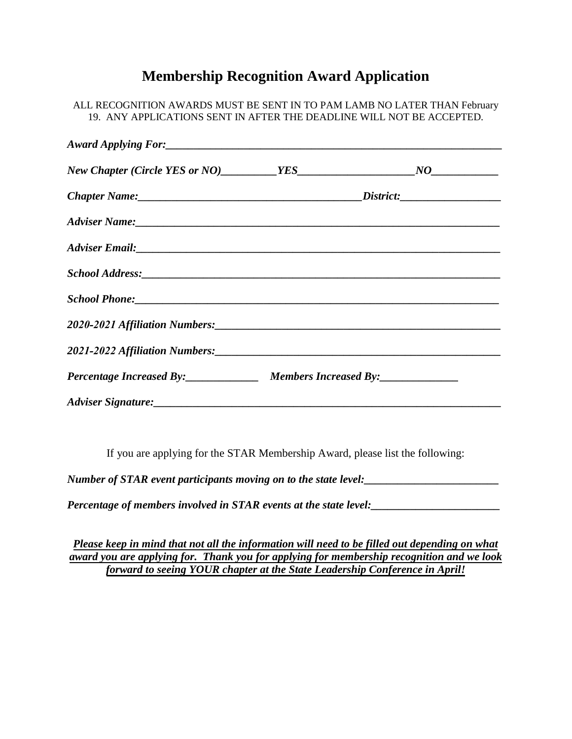## **Membership Recognition Award Application**

| ALL RECOGNITION AWARDS MUST BE SENT IN TO PAM LAMB NO LATER THAN February<br>19. ANY APPLICATIONS SENT IN AFTER THE DEADLINE WILL NOT BE ACCEPTED. |                                                |  |
|----------------------------------------------------------------------------------------------------------------------------------------------------|------------------------------------------------|--|
|                                                                                                                                                    |                                                |  |
|                                                                                                                                                    |                                                |  |
|                                                                                                                                                    |                                                |  |
|                                                                                                                                                    |                                                |  |
|                                                                                                                                                    |                                                |  |
|                                                                                                                                                    |                                                |  |
|                                                                                                                                                    |                                                |  |
|                                                                                                                                                    |                                                |  |
|                                                                                                                                                    |                                                |  |
|                                                                                                                                                    | Percentage Increased By: Members Increased By: |  |
|                                                                                                                                                    |                                                |  |

If you are applying for the STAR Membership Award, please list the following:

*Number of STAR event participants moving on to the state level:\_\_\_\_\_\_\_\_\_\_\_\_\_\_\_\_\_\_\_\_\_\_\_\_* 

*Percentage of members involved in STAR events at the state level:* 

*Please keep in mind that not all the information will need to be filled out depending on what award you are applying for. Thank you for applying for membership recognition and we look forward to seeing YOUR chapter at the State Leadership Conference in April!*